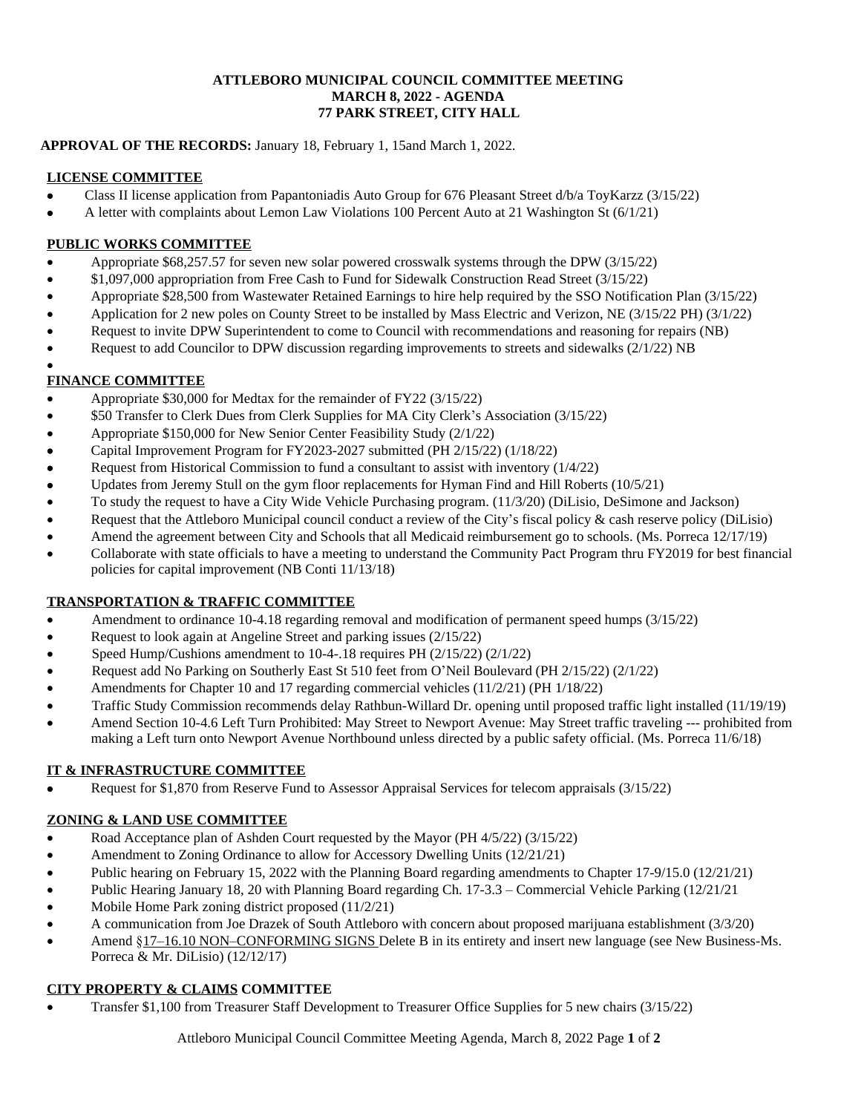#### **ATTLEBORO MUNICIPAL COUNCIL COMMITTEE MEETING MARCH 8, 2022 - AGENDA 77 PARK STREET, CITY HALL**

# **APPROVAL OF THE RECORDS:** January 18, February 1, 15and March 1, 2022.

### **LICENSE COMMITTEE**

- Class II license application from Papantoniadis Auto Group for 676 Pleasant Street d/b/a ToyKarzz (3/15/22)
- A letter with complaints about Lemon Law Violations 100 Percent Auto at 21 Washington St (6/1/21)

### **PUBLIC WORKS COMMITTEE**

- Appropriate \$68,257.57 for seven new solar powered crosswalk systems through the DPW (3/15/22)
- \$1,097,000 appropriation from Free Cash to Fund for Sidewalk Construction Read Street (3/15/22)
- Appropriate \$28,500 from Wastewater Retained Earnings to hire help required by the SSO Notification Plan (3/15/22)
- Application for 2 new poles on County Street to be installed by Mass Electric and Verizon, NE (3/15/22 PH) (3/1/22)
- Request to invite DPW Superintendent to come to Council with recommendations and reasoning for repairs (NB)
- Request to add Councilor to DPW discussion regarding improvements to streets and sidewalks (2/1/22) NB

#### $\bullet$ **FINANCE COMMITTEE**

- Appropriate \$30,000 for Medtax for the remainder of FY22 (3/15/22)
- \$50 Transfer to Clerk Dues from Clerk Supplies for MA City Clerk's Association (3/15/22)
- Appropriate \$150,000 for New Senior Center Feasibility Study (2/1/22)
- Capital Improvement Program for FY2023-2027 submitted (PH 2/15/22) (1/18/22)
- Request from Historical Commission to fund a consultant to assist with inventory (1/4/22)
- Updates from Jeremy Stull on the gym floor replacements for Hyman Find and Hill Roberts (10/5/21)
- To study the request to have a City Wide Vehicle Purchasing program. (11/3/20) (DiLisio, DeSimone and Jackson)
- Request that the Attleboro Municipal council conduct a review of the City's fiscal policy & cash reserve policy (DiLisio)
- Amend the agreement between City and Schools that all Medicaid reimbursement go to schools. (Ms. Porreca 12/17/19)
- Collaborate with state officials to have a meeting to understand the Community Pact Program thru FY2019 for best financial policies for capital improvement (NB Conti 11/13/18)

# **TRANSPORTATION & TRAFFIC COMMITTEE**

- Amendment to ordinance 10-4.18 regarding removal and modification of permanent speed humps (3/15/22)
- Request to look again at Angeline Street and parking issues (2/15/22)
- Speed Hump/Cushions amendment to 10-4-.18 requires PH (2/15/22) (2/1/22)
- Request add No Parking on Southerly East St 510 feet from O'Neil Boulevard (PH 2/15/22) (2/1/22)
- Amendments for Chapter 10 and 17 regarding commercial vehicles (11/2/21) (PH 1/18/22)
- Traffic Study Commission recommends delay Rathbun-Willard Dr. opening until proposed traffic light installed (11/19/19)
- Amend Section 10-4.6 Left Turn Prohibited: May Street to Newport Avenue: May Street traffic traveling --- prohibited from making a Left turn onto Newport Avenue Northbound unless directed by a public safety official. (Ms. Porreca 11/6/18)

#### **IT & INFRASTRUCTURE COMMITTEE**

Request for \$1,870 from Reserve Fund to Assessor Appraisal Services for telecom appraisals (3/15/22)

# **ZONING & LAND USE COMMITTEE**

- Road Acceptance plan of Ashden Court requested by the Mayor (PH 4/5/22) (3/15/22)
- Amendment to Zoning Ordinance to allow for Accessory Dwelling Units (12/21/21)
- Public hearing on February 15, 2022 with the Planning Board regarding amendments to Chapter 17-9/15.0 (12/21/21)
- Public Hearing January 18, 20 with Planning Board regarding Ch. 17-3.3 Commercial Vehicle Parking (12/21/21
- Mobile Home Park zoning district proposed (11/2/21)
- A communication from Joe Drazek of South Attleboro with concern about proposed marijuana establishment (3/3/20)
- Amend §17–16.10 NON–CONFORMING SIGNS Delete B in its entirety and insert new language (see New Business-Ms. Porreca & Mr. DiLisio) (12/12/17)

# **CITY PROPERTY & CLAIMS COMMITTEE**

Transfer \$1,100 from Treasurer Staff Development to Treasurer Office Supplies for 5 new chairs (3/15/22)

Attleboro Municipal Council Committee Meeting Agenda, March 8, 2022 Page **1** of **2**